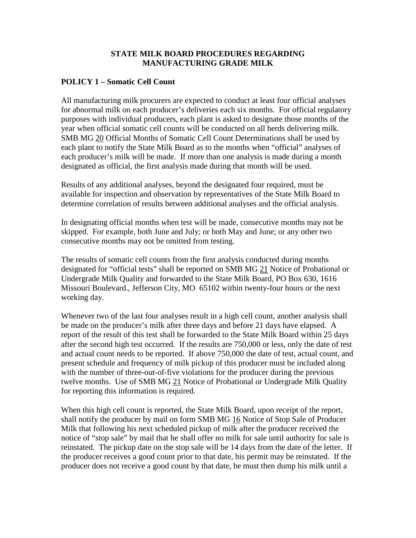#### **STATE MILK BOARD PROCEDURES REGARDING MANUFACTURING GRADE MILK**

## **POLICY 1 – Somatic Cell Count**

All manufacturing milk procurers are expected to conduct at least four official analyses for abnormal milk on each producer's deliveries each six months. For official regulatory purposes with individual producers, each plant is asked to designate those months of the year when official somatic cell counts will be conducted on all herds delivering milk. SMB MG 20 Official Months of Somatic Cell Count Determinations shall be used by each plant to notify the State Milk Board as to the months when "official" analyses of each producer's milk will be made. If more than one analysis is made during a month designated as official, the first analysis made during that month will be used.

Results of any additional analyses, beyond the designated four required, must be available for inspection and observation by representatives of the State Milk Board to determine correlation of results between additional analyses and the official analysis.

In designating official months when test will be made, consecutive months may not be skipped. For example, both June and July; or both May and June; or any other two consecutive months may not be omitted from testing.

The results of somatic cell counts from the first analysis conducted during months designated for "official tests" shall be reported on SMB MG 21 Notice of Probational or Undergrade Milk Quality and forwarded to the State Milk Board, PO Box 630, 1616 Missouri Boulevard., Jefferson City, MO 65102 within twenty-four hours or the next working day.

Whenever two of the last four analyses result in a high cell count, another analysis shall be made on the producer's milk after three days and before 21 days have elapsed. A report of the result of this test shall be forwarded to the State Milk Board within 25 days after the second high test occurred. If the results are 750,000 or less, only the date of test and actual count needs to be reported. If above 750,000 the date of test, actual count, and present schedule and frequency of milk pickup of this producer must be included along with the number of three-out-of-five violations for the producer during the previous twelve months. Use of SMB MG 21 Notice of Probational or Undergrade Milk Quality for reporting this information is required.

When this high cell count is reported, the State Milk Board, upon receipt of the report, shall notify the producer by mail on form SMB MG 16 Notice of Stop Sale of Producer Milk that following his next scheduled pickup of milk after the producer received the notice of "stop sale" by mail that he shall offer no milk for sale until authority for sale is reinstated. The pickup date on the stop sale will be 14 days from the date of the letter. If the producer receives a good count prior to that date, his permit may be reinstated. If the producer does not receive a good count by that date, he must then dump his milk until a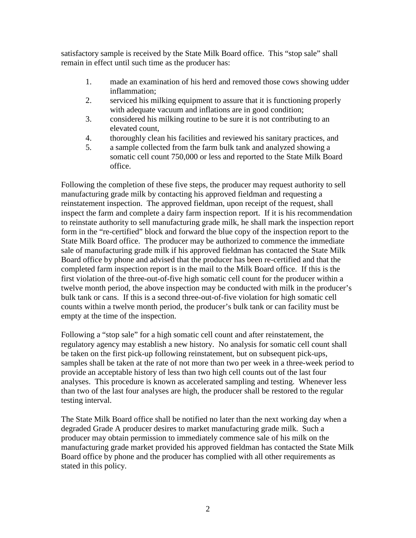satisfactory sample is received by the State Milk Board office. This "stop sale" shall remain in effect until such time as the producer has:

- 1. made an examination of his herd and removed those cows showing udder inflammation;
- 2. serviced his milking equipment to assure that it is functioning properly with adequate vacuum and inflations are in good condition;
- 3. considered his milking routine to be sure it is not contributing to an elevated count,
- 4. thoroughly clean his facilities and reviewed his sanitary practices, and
- 5. a sample collected from the farm bulk tank and analyzed showing a somatic cell count 750,000 or less and reported to the State Milk Board office.

Following the completion of these five steps, the producer may request authority to sell manufacturing grade milk by contacting his approved fieldman and requesting a reinstatement inspection. The approved fieldman, upon receipt of the request, shall inspect the farm and complete a dairy farm inspection report. If it is his recommendation to reinstate authority to sell manufacturing grade milk, he shall mark the inspection report form in the "re-certified" block and forward the blue copy of the inspection report to the State Milk Board office. The producer may be authorized to commence the immediate sale of manufacturing grade milk if his approved fieldman has contacted the State Milk Board office by phone and advised that the producer has been re-certified and that the completed farm inspection report is in the mail to the Milk Board office. If this is the first violation of the three-out-of-five high somatic cell count for the producer within a twelve month period, the above inspection may be conducted with milk in the producer's bulk tank or cans. If this is a second three-out-of-five violation for high somatic cell counts within a twelve month period, the producer's bulk tank or can facility must be empty at the time of the inspection.

Following a "stop sale" for a high somatic cell count and after reinstatement, the regulatory agency may establish a new history. No analysis for somatic cell count shall be taken on the first pick-up following reinstatement, but on subsequent pick-ups, samples shall be taken at the rate of not more than two per week in a three-week period to provide an acceptable history of less than two high cell counts out of the last four analyses. This procedure is known as accelerated sampling and testing. Whenever less than two of the last four analyses are high, the producer shall be restored to the regular testing interval.

The State Milk Board office shall be notified no later than the next working day when a degraded Grade A producer desires to market manufacturing grade milk. Such a producer may obtain permission to immediately commence sale of his milk on the manufacturing grade market provided his approved fieldman has contacted the State Milk Board office by phone and the producer has complied with all other requirements as stated in this policy.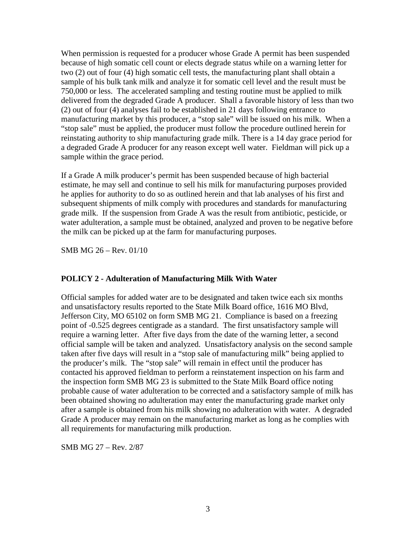When permission is requested for a producer whose Grade A permit has been suspended because of high somatic cell count or elects degrade status while on a warning letter for two (2) out of four (4) high somatic cell tests, the manufacturing plant shall obtain a sample of his bulk tank milk and analyze it for somatic cell level and the result must be 750,000 or less. The accelerated sampling and testing routine must be applied to milk delivered from the degraded Grade A producer. Shall a favorable history of less than two (2) out of four (4) analyses fail to be established in 21 days following entrance to manufacturing market by this producer, a "stop sale" will be issued on his milk. When a "stop sale" must be applied, the producer must follow the procedure outlined herein for reinstating authority to ship manufacturing grade milk. There is a 14 day grace period for a degraded Grade A producer for any reason except well water. Fieldman will pick up a sample within the grace period.

If a Grade A milk producer's permit has been suspended because of high bacterial estimate, he may sell and continue to sell his milk for manufacturing purposes provided he applies for authority to do so as outlined herein and that lab analyses of his first and subsequent shipments of milk comply with procedures and standards for manufacturing grade milk. If the suspension from Grade A was the result from antibiotic, pesticide, or water adulteration, a sample must be obtained, analyzed and proven to be negative before the milk can be picked up at the farm for manufacturing purposes.

SMB MG 26 – Rev. 01/10

#### **POLICY 2 - Adulteration of Manufacturing Milk With Water**

Official samples for added water are to be designated and taken twice each six months and unsatisfactory results reported to the State Milk Board office, 1616 MO Blvd, Jefferson City, MO 65102 on form SMB MG 21. Compliance is based on a freezing point of -0.525 degrees centigrade as a standard. The first unsatisfactory sample will require a warning letter. After five days from the date of the warning letter, a second official sample will be taken and analyzed. Unsatisfactory analysis on the second sample taken after five days will result in a "stop sale of manufacturing milk" being applied to the producer's milk. The "stop sale" will remain in effect until the producer has contacted his approved fieldman to perform a reinstatement inspection on his farm and the inspection form SMB MG 23 is submitted to the State Milk Board office noting probable cause of water adulteration to be corrected and a satisfactory sample of milk has been obtained showing no adulteration may enter the manufacturing grade market only after a sample is obtained from his milk showing no adulteration with water. A degraded Grade A producer may remain on the manufacturing market as long as he complies with all requirements for manufacturing milk production.

SMB MG 27 – Rev. 2/87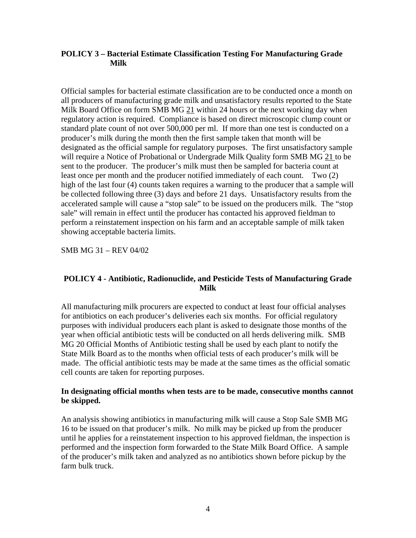## **POLICY 3 – Bacterial Estimate Classification Testing For Manufacturing Grade Milk**

Official samples for bacterial estimate classification are to be conducted once a month on all producers of manufacturing grade milk and unsatisfactory results reported to the State Milk Board Office on form SMB MG 21 within 24 hours or the next working day when regulatory action is required. Compliance is based on direct microscopic clump count or standard plate count of not over 500,000 per ml. If more than one test is conducted on a producer's milk during the month then the first sample taken that month will be designated as the official sample for regulatory purposes. The first unsatisfactory sample will require a Notice of Probational or Undergrade Milk Quality form SMB MG 21 to be sent to the producer. The producer's milk must then be sampled for bacteria count at least once per month and the producer notified immediately of each count. Two (2) high of the last four (4) counts taken requires a warning to the producer that a sample will be collected following three (3) days and before 21 days. Unsatisfactory results from the accelerated sample will cause a "stop sale" to be issued on the producers milk. The "stop sale" will remain in effect until the producer has contacted his approved fieldman to perform a reinstatement inspection on his farm and an acceptable sample of milk taken showing acceptable bacteria limits.

SMB MG 31 – REV 04/02

## **POLICY 4 - Antibiotic, Radionuclide, and Pesticide Tests of Manufacturing Grade Milk**

All manufacturing milk procurers are expected to conduct at least four official analyses for antibiotics on each producer's deliveries each six months. For official regulatory purposes with individual producers each plant is asked to designate those months of the year when official antibiotic tests will be conducted on all herds delivering milk. SMB MG 20 Official Months of Antibiotic testing shall be used by each plant to notify the State Milk Board as to the months when official tests of each producer's milk will be made. The official antibiotic tests may be made at the same times as the official somatic cell counts are taken for reporting purposes.

#### **In designating official months when tests are to be made, consecutive months cannot be skipped.**

An analysis showing antibiotics in manufacturing milk will cause a Stop Sale SMB MG 16 to be issued on that producer's milk. No milk may be picked up from the producer until he applies for a reinstatement inspection to his approved fieldman, the inspection is performed and the inspection form forwarded to the State Milk Board Office. A sample of the producer's milk taken and analyzed as no antibiotics shown before pickup by the farm bulk truck.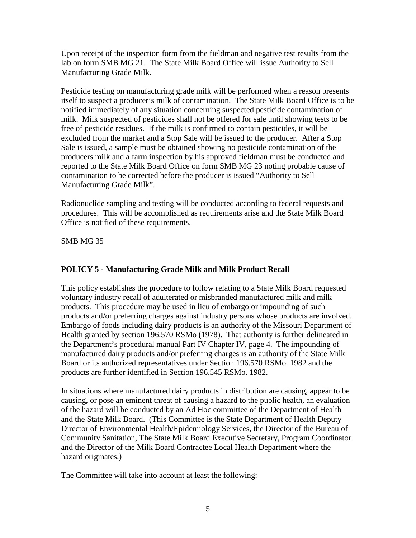Upon receipt of the inspection form from the fieldman and negative test results from the lab on form SMB MG 21. The State Milk Board Office will issue Authority to Sell Manufacturing Grade Milk.

Pesticide testing on manufacturing grade milk will be performed when a reason presents itself to suspect a producer's milk of contamination. The State Milk Board Office is to be notified immediately of any situation concerning suspected pesticide contamination of milk. Milk suspected of pesticides shall not be offered for sale until showing tests to be free of pesticide residues. If the milk is confirmed to contain pesticides, it will be excluded from the market and a Stop Sale will be issued to the producer. After a Stop Sale is issued, a sample must be obtained showing no pesticide contamination of the producers milk and a farm inspection by his approved fieldman must be conducted and reported to the State Milk Board Office on form SMB MG 23 noting probable cause of contamination to be corrected before the producer is issued "Authority to Sell Manufacturing Grade Milk".

Radionuclide sampling and testing will be conducted according to federal requests and procedures. This will be accomplished as requirements arise and the State Milk Board Office is notified of these requirements.

SMB MG 35

# **POLICY 5 - Manufacturing Grade Milk and Milk Product Recall**

This policy establishes the procedure to follow relating to a State Milk Board requested voluntary industry recall of adulterated or misbranded manufactured milk and milk products. This procedure may be used in lieu of embargo or impounding of such products and/or preferring charges against industry persons whose products are involved. Embargo of foods including dairy products is an authority of the Missouri Department of Health granted by section 196.570 RSMo (1978). That authority is further delineated in the Department's procedural manual Part IV Chapter IV, page 4. The impounding of manufactured dairy products and/or preferring charges is an authority of the State Milk Board or its authorized representatives under Section 196.570 RSMo. 1982 and the products are further identified in Section 196.545 RSMo. 1982.

In situations where manufactured dairy products in distribution are causing, appear to be causing, or pose an eminent threat of causing a hazard to the public health, an evaluation of the hazard will be conducted by an Ad Hoc committee of the Department of Health and the State Milk Board. (This Committee is the State Department of Health Deputy Director of Environmental Health/Epidemiology Services, the Director of the Bureau of Community Sanitation, The State Milk Board Executive Secretary, Program Coordinator and the Director of the Milk Board Contractee Local Health Department where the hazard originates.)

The Committee will take into account at least the following: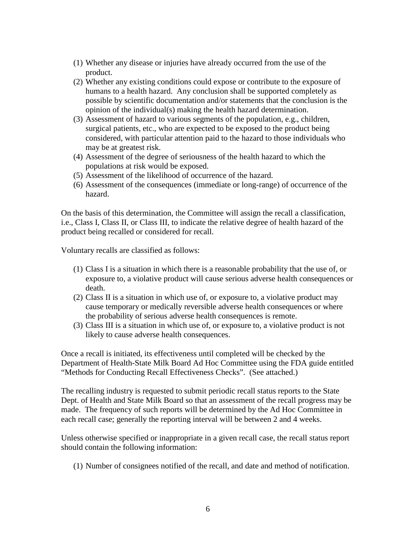- (1) Whether any disease or injuries have already occurred from the use of the product.
- (2) Whether any existing conditions could expose or contribute to the exposure of humans to a health hazard. Any conclusion shall be supported completely as possible by scientific documentation and/or statements that the conclusion is the opinion of the individual(s) making the health hazard determination.
- (3) Assessment of hazard to various segments of the population, e.g., children, surgical patients, etc., who are expected to be exposed to the product being considered, with particular attention paid to the hazard to those individuals who may be at greatest risk.
- (4) Assessment of the degree of seriousness of the health hazard to which the populations at risk would be exposed.
- (5) Assessment of the likelihood of occurrence of the hazard.
- (6) Assessment of the consequences (immediate or long-range) of occurrence of the hazard.

On the basis of this determination, the Committee will assign the recall a classification, i.e., Class I, Class II, or Class III, to indicate the relative degree of health hazard of the product being recalled or considered for recall.

Voluntary recalls are classified as follows:

- (1) Class I is a situation in which there is a reasonable probability that the use of, or exposure to, a violative product will cause serious adverse health consequences or death.
- (2) Class II is a situation in which use of, or exposure to, a violative product may cause temporary or medically reversible adverse health consequences or where the probability of serious adverse health consequences is remote.
- (3) Class III is a situation in which use of, or exposure to, a violative product is not likely to cause adverse health consequences.

Once a recall is initiated, its effectiveness until completed will be checked by the Department of Health-State Milk Board Ad Hoc Committee using the FDA guide entitled "Methods for Conducting Recall Effectiveness Checks". (See attached.)

The recalling industry is requested to submit periodic recall status reports to the State Dept. of Health and State Milk Board so that an assessment of the recall progress may be made. The frequency of such reports will be determined by the Ad Hoc Committee in each recall case; generally the reporting interval will be between 2 and 4 weeks.

Unless otherwise specified or inappropriate in a given recall case, the recall status report should contain the following information:

(1) Number of consignees notified of the recall, and date and method of notification.